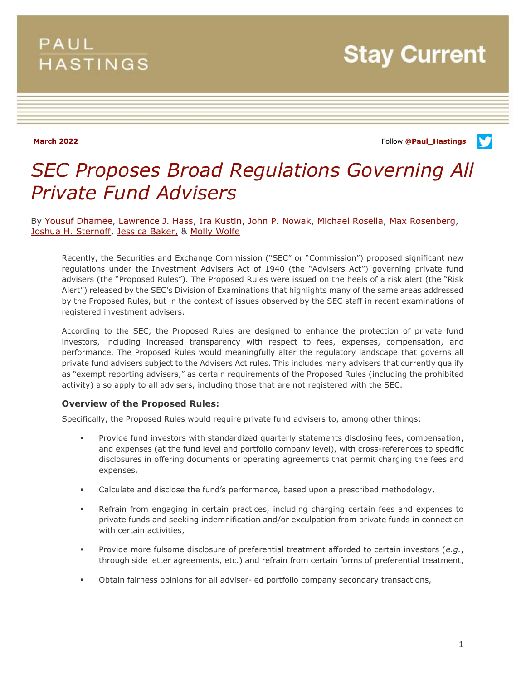# PAUL **HASTINGS**

**Stay Current** 

**March 2022** Follow **[@Paul\\_Hastings](http://twitter.com/Paul_Hastings)**

V

# *SEC Proposes Broad Regulations Governing All Private Fund Advisers*

By [Yousuf Dhamee,](https://www.paulhastings.com/professionals/yousufdhamee) [Lawrence J. Hass,](https://www.paulhastings.com/professionals/larryhass) [Ira Kustin,](https://www.paulhastings.com/professionals/irakustin) [John P. Nowak,](https://www.paulhastings.com/professionals/johnnowak) [Michael Rosella,](https://www.paulhastings.com/professionals/mikerosella) [Max Rosenberg,](https://www.paulhastings.com/professionals/maxrosenberg) Joshua [H. Sternoff,](https://www.paulhastings.com/professionals/joshsternoff) [Jessica Baker,](https://www.paulhastings.com/professionals/jessicabaker) & [Molly Wolfe](https://www.paulhastings.com/professionals/mollywolfe)

Recently, the Securities and Exchange Commission ("SEC" or "Commission") proposed significant new regulations under the Investment Advisers Act of 1940 (the "Advisers Act") governing private fund advisers (the "Proposed Rules"). The Proposed Rules were issued on the heels of a risk alert (the "Risk Alert") released by the SEC's Division of Examinations that highlights many of the same areas addressed by the Proposed Rules, but in the context of issues observed by the SEC staff in recent examinations of registered investment advisers.

According to the SEC, the Proposed Rules are designed to enhance the protection of private fund investors, including increased transparency with respect to fees, expenses, compensation, and performance. The Proposed Rules would meaningfully alter the regulatory landscape that governs all private fund advisers subject to the Advisers Act rules. This includes many advisers that currently qualify as "exempt reporting advisers," as certain requirements of the Proposed Rules (including the prohibited activity) also apply to all advisers, including those that are not registered with the SEC.

### **Overview of the Proposed Rules:**

Specifically, the Proposed Rules would require private fund advisers to, among other things:

- **Provide fund investors with standardized quarterly statements disclosing fees, compensation,** and expenses (at the fund level and portfolio company level), with cross-references to specific disclosures in offering documents or operating agreements that permit charging the fees and expenses,
- Calculate and disclose the fund's performance, based upon a prescribed methodology,
- Refrain from engaging in certain practices, including charging certain fees and expenses to private funds and seeking indemnification and/or exculpation from private funds in connection with certain activities,
- Provide more fulsome disclosure of preferential treatment afforded to certain investors (*e.g.*, through side letter agreements, etc.) and refrain from certain forms of preferential treatment,
- Obtain fairness opinions for all adviser-led portfolio company secondary transactions,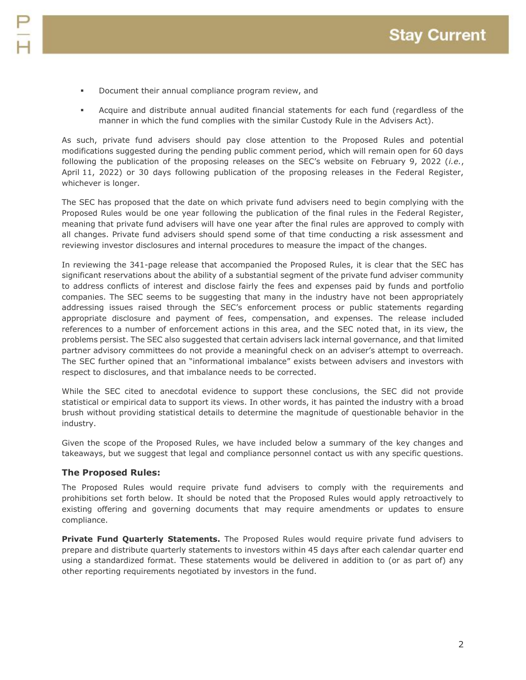- **•** Document their annual compliance program review, and
- Acquire and distribute annual audited financial statements for each fund (regardless of the manner in which the fund complies with the similar Custody Rule in the Advisers Act).

As such, private fund advisers should pay close attention to the Proposed Rules and potential modifications suggested during the pending public comment period, which will remain open for 60 days following the publication of the proposing releases on the SEC's website on February 9, 2022 (*i.e.*, April 11, 2022) or 30 days following publication of the proposing releases in the Federal Register, whichever is longer.

The SEC has proposed that the date on which private fund advisers need to begin complying with the Proposed Rules would be one year following the publication of the final rules in the Federal Register, meaning that private fund advisers will have one year after the final rules are approved to comply with all changes. Private fund advisers should spend some of that time conducting a risk assessment and reviewing investor disclosures and internal procedures to measure the impact of the changes.

In reviewing the 341-page release that accompanied the Proposed Rules, it is clear that the SEC has significant reservations about the ability of a substantial segment of the private fund adviser community to address conflicts of interest and disclose fairly the fees and expenses paid by funds and portfolio companies. The SEC seems to be suggesting that many in the industry have not been appropriately addressing issues raised through the SEC's enforcement process or public statements regarding appropriate disclosure and payment of fees, compensation, and expenses. The release included references to a number of enforcement actions in this area, and the SEC noted that, in its view, the problems persist. The SEC also suggested that certain advisers lack internal governance, and that limited partner advisory committees do not provide a meaningful check on an adviser's attempt to overreach. The SEC further opined that an "informational imbalance" exists between advisers and investors with respect to disclosures, and that imbalance needs to be corrected.

While the SEC cited to anecdotal evidence to support these conclusions, the SEC did not provide statistical or empirical data to support its views. In other words, it has painted the industry with a broad brush without providing statistical details to determine the magnitude of questionable behavior in the industry.

Given the scope of the Proposed Rules, we have included below a summary of the key changes and takeaways, but we suggest that legal and compliance personnel contact us with any specific questions.

# **The Proposed Rules:**

The Proposed Rules would require private fund advisers to comply with the requirements and prohibitions set forth below. It should be noted that the Proposed Rules would apply retroactively to existing offering and governing documents that may require amendments or updates to ensure compliance.

**Private Fund Quarterly Statements.** The Proposed Rules would require private fund advisers to prepare and distribute quarterly statements to investors within 45 days after each calendar quarter end using a standardized format. These statements would be delivered in addition to (or as part of) any other reporting requirements negotiated by investors in the fund.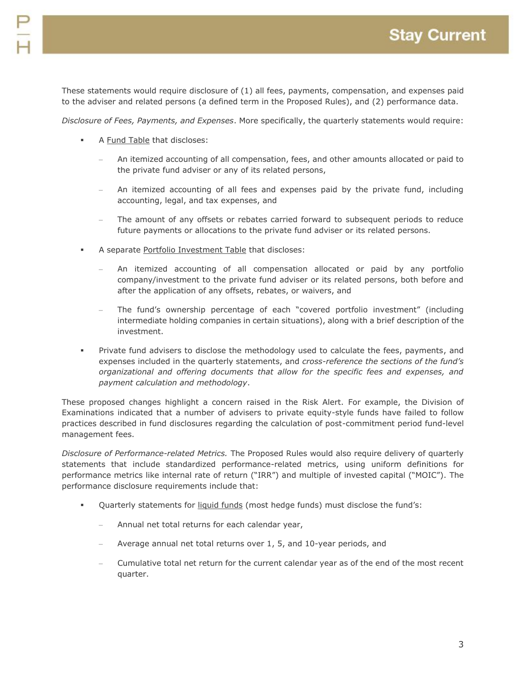These statements would require disclosure of (1) all fees, payments, compensation, and expenses paid to the adviser and related persons (a defined term in the Proposed Rules), and (2) performance data.

*Disclosure of Fees, Payments, and Expenses*. More specifically, the quarterly statements would require:

- A Fund Table that discloses:
	- An itemized accounting of all compensation, fees, and other amounts allocated or paid to the private fund adviser or any of its related persons,
	- An itemized accounting of all fees and expenses paid by the private fund, including accounting, legal, and tax expenses, and
	- The amount of any offsets or rebates carried forward to subsequent periods to reduce future payments or allocations to the private fund adviser or its related persons.
- A separate Portfolio Investment Table that discloses:
	- An itemized accounting of all compensation allocated or paid by any portfolio company/investment to the private fund adviser or its related persons, both before and after the application of any offsets, rebates, or waivers, and
	- The fund's ownership percentage of each "covered portfolio investment" (including intermediate holding companies in certain situations), along with a brief description of the investment.
- Private fund advisers to disclose the methodology used to calculate the fees, payments, and expenses included in the quarterly statements, and *cross-reference the sections of the fund's organizational and offering documents that allow for the specific fees and expenses, and payment calculation and methodology*.

These proposed changes highlight a concern raised in the Risk Alert. For example, the Division of Examinations indicated that a number of advisers to private equity-style funds have failed to follow practices described in fund disclosures regarding the calculation of post-commitment period fund-level management fees.

*Disclosure of Performance-related Metrics.* The Proposed Rules would also require delivery of quarterly statements that include standardized performance-related metrics, using uniform definitions for performance metrics like internal rate of return ("IRR") and multiple of invested capital ("MOIC"). The performance disclosure requirements include that:

- Quarterly statements for liquid funds (most hedge funds) must disclose the fund's:
	- Annual net total returns for each calendar year,
	- Average annual net total returns over 1, 5, and 10-year periods, and
	- Cumulative total net return for the current calendar year as of the end of the most recent quarter.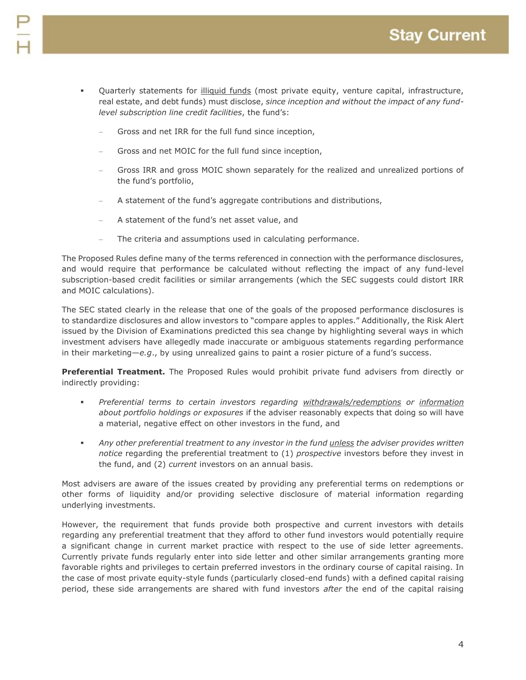- Quarterly statements for illiquid funds (most private equity, venture capital, infrastructure, real estate, and debt funds) must disclose, *since inception and without the impact of any fundlevel subscription line credit facilities*, the fund's:
	- Gross and net IRR for the full fund since inception,
	- Gross and net MOIC for the full fund since inception,
	- Gross IRR and gross MOIC shown separately for the realized and unrealized portions of the fund's portfolio,
	- A statement of the fund's aggregate contributions and distributions,
	- A statement of the fund's net asset value, and
	- The criteria and assumptions used in calculating performance.

The Proposed Rules define many of the terms referenced in connection with the performance disclosures, and would require that performance be calculated without reflecting the impact of any fund-level subscription-based credit facilities or similar arrangements (which the SEC suggests could distort IRR and MOIC calculations).

The SEC stated clearly in the release that one of the goals of the proposed performance disclosures is to standardize disclosures and allow investors to "compare apples to apples." Additionally, the Risk Alert issued by the Division of Examinations predicted this sea change by highlighting several ways in which investment advisers have allegedly made inaccurate or ambiguous statements regarding performance in their marketing—*e.g*., by using unrealized gains to paint a rosier picture of a fund's success.

**Preferential Treatment.** The Proposed Rules would prohibit private fund advisers from directly or indirectly providing:

- *Preferential terms to certain investors regarding withdrawals/redemptions or information about portfolio holdings or exposures* if the adviser reasonably expects that doing so will have a material, negative effect on other investors in the fund, and
- *Any other preferential treatment to any investor in the fund unless the adviser provides written notice* regarding the preferential treatment to (1) *prospective* investors before they invest in the fund, and (2) *current* investors on an annual basis.

Most advisers are aware of the issues created by providing any preferential terms on redemptions or other forms of liquidity and/or providing selective disclosure of material information regarding underlying investments.

However, the requirement that funds provide both prospective and current investors with details regarding any preferential treatment that they afford to other fund investors would potentially require a significant change in current market practice with respect to the use of side letter agreements. Currently private funds regularly enter into side letter and other similar arrangements granting more favorable rights and privileges to certain preferred investors in the ordinary course of capital raising. In the case of most private equity-style funds (particularly closed-end funds) with a defined capital raising period, these side arrangements are shared with fund investors *after* the end of the capital raising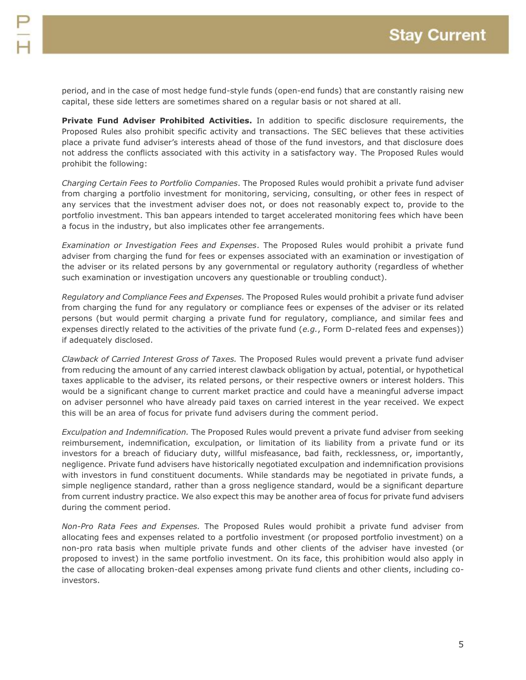period, and in the case of most hedge fund-style funds (open-end funds) that are constantly raising new capital, these side letters are sometimes shared on a regular basis or not shared at all.

**Private Fund Adviser Prohibited Activities.** In addition to specific disclosure requirements, the Proposed Rules also prohibit specific activity and transactions. The SEC believes that these activities place a private fund adviser's interests ahead of those of the fund investors, and that disclosure does not address the conflicts associated with this activity in a satisfactory way. The Proposed Rules would prohibit the following:

*Charging Certain Fees to Portfolio Companies*. The Proposed Rules would prohibit a private fund adviser from charging a portfolio investment for monitoring, servicing, consulting, or other fees in respect of any services that the investment adviser does not, or does not reasonably expect to, provide to the portfolio investment. This ban appears intended to target accelerated monitoring fees which have been a focus in the industry, but also implicates other fee arrangements.

*Examination or Investigation Fees and Expenses*. The Proposed Rules would prohibit a private fund adviser from charging the fund for fees or expenses associated with an examination or investigation of the adviser or its related persons by any governmental or regulatory authority (regardless of whether such examination or investigation uncovers any questionable or troubling conduct).

*Regulatory and Compliance Fees and Expenses.* The Proposed Rules would prohibit a private fund adviser from charging the fund for any regulatory or compliance fees or expenses of the adviser or its related persons (but would permit charging a private fund for regulatory, compliance, and similar fees and expenses directly related to the activities of the private fund (*e.g.*, Form D-related fees and expenses)) if adequately disclosed.

*Clawback of Carried Interest Gross of Taxes.* The Proposed Rules would prevent a private fund adviser from reducing the amount of any carried interest clawback obligation by actual, potential, or hypothetical taxes applicable to the adviser, its related persons, or their respective owners or interest holders. This would be a significant change to current market practice and could have a meaningful adverse impact on adviser personnel who have already paid taxes on carried interest in the year received. We expect this will be an area of focus for private fund advisers during the comment period.

*Exculpation and Indemnification.* The Proposed Rules would prevent a private fund adviser from seeking reimbursement, indemnification, exculpation, or limitation of its liability from a private fund or its investors for a breach of fiduciary duty, willful misfeasance, bad faith, recklessness, or, importantly, negligence. Private fund advisers have historically negotiated exculpation and indemnification provisions with investors in fund constituent documents. While standards may be negotiated in private funds, a simple negligence standard, rather than a gross negligence standard, would be a significant departure from current industry practice. We also expect this may be another area of focus for private fund advisers during the comment period.

*Non-Pro Rata Fees and Expenses.* The Proposed Rules would prohibit a private fund adviser from allocating fees and expenses related to a portfolio investment (or proposed portfolio investment) on a non-pro rata basis when multiple private funds and other clients of the adviser have invested (or proposed to invest) in the same portfolio investment. On its face, this prohibition would also apply in the case of allocating broken-deal expenses among private fund clients and other clients, including coinvestors.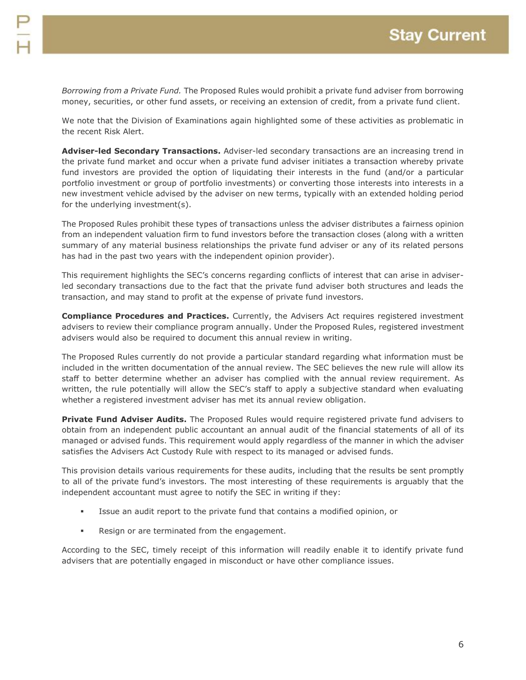*Borrowing from a Private Fund.* The Proposed Rules would prohibit a private fund adviser from borrowing money, securities, or other fund assets, or receiving an extension of credit, from a private fund client.

We note that the Division of Examinations again highlighted some of these activities as problematic in the recent Risk Alert.

**Adviser-led Secondary Transactions.** Adviser-led secondary transactions are an increasing trend in the private fund market and occur when a private fund adviser initiates a transaction whereby private fund investors are provided the option of liquidating their interests in the fund (and/or a particular portfolio investment or group of portfolio investments) or converting those interests into interests in a new investment vehicle advised by the adviser on new terms, typically with an extended holding period for the underlying investment(s).

The Proposed Rules prohibit these types of transactions unless the adviser distributes a fairness opinion from an independent valuation firm to fund investors before the transaction closes (along with a written summary of any material business relationships the private fund adviser or any of its related persons has had in the past two years with the independent opinion provider).

This requirement highlights the SEC's concerns regarding conflicts of interest that can arise in adviserled secondary transactions due to the fact that the private fund adviser both structures and leads the transaction, and may stand to profit at the expense of private fund investors.

**Compliance Procedures and Practices.** Currently, the Advisers Act requires registered investment advisers to review their compliance program annually. Under the Proposed Rules, registered investment advisers would also be required to document this annual review in writing.

The Proposed Rules currently do not provide a particular standard regarding what information must be included in the written documentation of the annual review. The SEC believes the new rule will allow its staff to better determine whether an adviser has complied with the annual review requirement. As written, the rule potentially will allow the SEC's staff to apply a subjective standard when evaluating whether a registered investment adviser has met its annual review obligation.

**Private Fund Adviser Audits.** The Proposed Rules would require registered private fund advisers to obtain from an independent public accountant an annual audit of the financial statements of all of its managed or advised funds. This requirement would apply regardless of the manner in which the adviser satisfies the Advisers Act Custody Rule with respect to its managed or advised funds.

This provision details various requirements for these audits, including that the results be sent promptly to all of the private fund's investors. The most interesting of these requirements is arguably that the independent accountant must agree to notify the SEC in writing if they:

- Issue an audit report to the private fund that contains a modified opinion, or
- **Resign or are terminated from the engagement.**

According to the SEC, timely receipt of this information will readily enable it to identify private fund advisers that are potentially engaged in misconduct or have other compliance issues.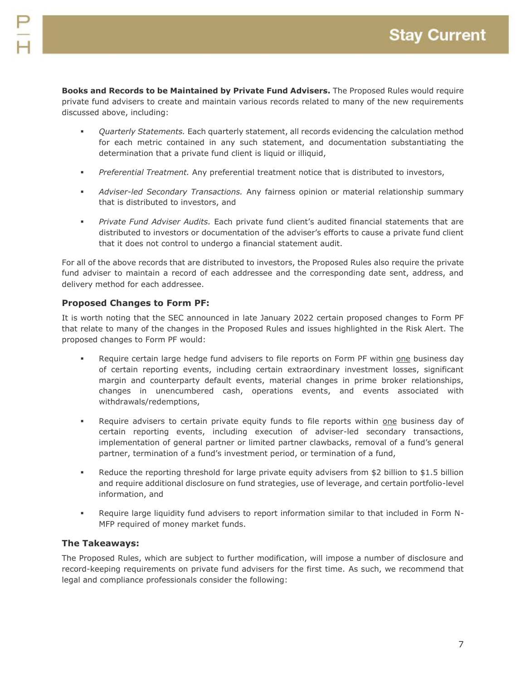**Books and Records to be Maintained by Private Fund Advisers.** The Proposed Rules would require private fund advisers to create and maintain various records related to many of the new requirements discussed above, including:

- *Quarterly Statements.* Each quarterly statement, all records evidencing the calculation method for each metric contained in any such statement, and documentation substantiating the determination that a private fund client is liquid or illiquid,
- *Preferential Treatment.* Any preferential treatment notice that is distributed to investors,
- *Adviser-led Secondary Transactions.* Any fairness opinion or material relationship summary that is distributed to investors, and
- *Private Fund Adviser Audits.* Each private fund client's audited financial statements that are distributed to investors or documentation of the adviser's efforts to cause a private fund client that it does not control to undergo a financial statement audit.

For all of the above records that are distributed to investors, the Proposed Rules also require the private fund adviser to maintain a record of each addressee and the corresponding date sent, address, and delivery method for each addressee.

# **Proposed Changes to Form PF:**

It is worth noting that the SEC announced in late January 2022 certain proposed changes to Form PF that relate to many of the changes in the Proposed Rules and issues highlighted in the Risk Alert. The proposed changes to Form PF would:

- Require certain large hedge fund advisers to file reports on Form PF within one business day of certain reporting events, including certain extraordinary investment losses, significant margin and counterparty default events, material changes in prime broker relationships, changes in unencumbered cash, operations events, and events associated with withdrawals/redemptions,
- Require advisers to certain private equity funds to file reports within one business day of certain reporting events, including execution of adviser-led secondary transactions, implementation of general partner or limited partner clawbacks, removal of a fund's general partner, termination of a fund's investment period, or termination of a fund,
- Reduce the reporting threshold for large private equity advisers from \$2 billion to \$1.5 billion and require additional disclosure on fund strategies, use of leverage, and certain portfolio-level information, and
- Require large liquidity fund advisers to report information similar to that included in Form N-MFP required of money market funds.

# **The Takeaways:**

The Proposed Rules, which are subject to further modification, will impose a number of disclosure and record-keeping requirements on private fund advisers for the first time. As such, we recommend that legal and compliance professionals consider the following: